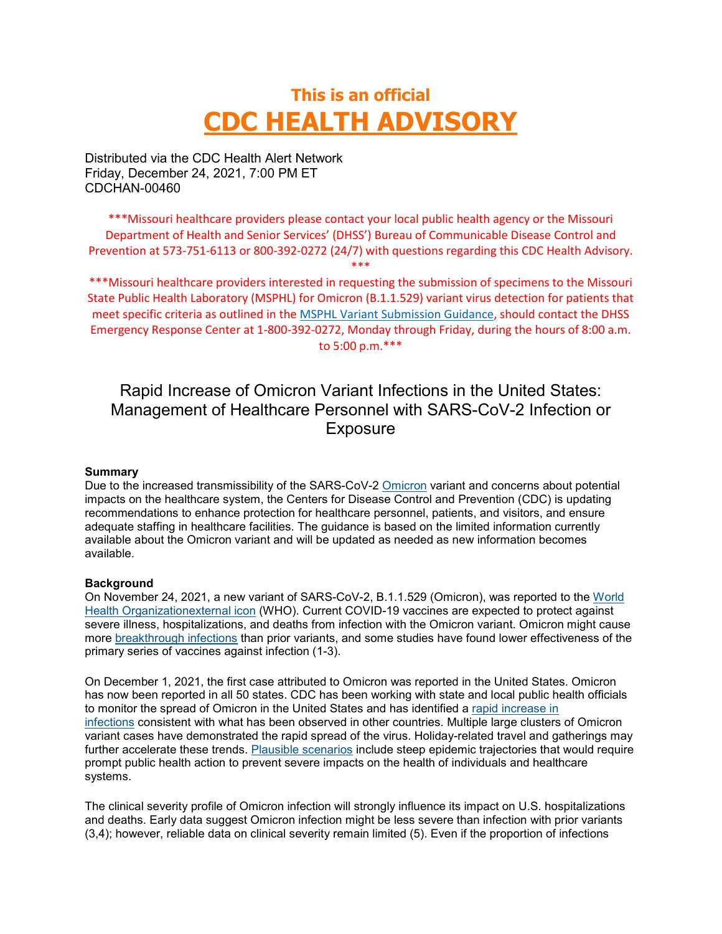# **This is an official CDC HEALTH ADVISORY**

Distributed via the CDC Health Alert Network Friday, December 24, 2021, 7:00 PM ET CDCHAN-00460

\*\*\*Missouri healthcare providers please contact your local public health agency or the Missouri Department of Health and Senior Services' (DHSS') Bureau of Communicable Disease Control and Prevention at 573-751-6113 or 800-392-0272 (24/7) with questions regarding this CDC Health Advisory. \*\*\*

\*\*\*Missouri healthcare providers interested in requesting the submission of specimens to the Missouri State Public Health Laboratory (MSPHL) for Omicron (B.1.1.529) variant virus detection for patients that meet specific criteria as outlined in the [MSPHL Variant Submission Guidance,](https://health.mo.gov/lab/pdf/omicron-sequencing.pdf) should contact the DHSS Emergency Response Center at 1-800-392-0272, Monday through Friday, during the hours of 8:00 a.m. to 5:00 p.m.\*\*\*

# Rapid Increase of Omicron Variant Infections in the United States: Management of Healthcare Personnel with SARS-CoV-2 Infection or **Exposure**

#### **Summary**

Due to the increased transmissibility of the SARS-CoV-2 [Omicron](https://www.cdc.gov/coronavirus/2019-ncov/variants/omicron-variant.html) variant and concerns about potential impacts on the healthcare system, the Centers for Disease Control and Prevention (CDC) is updating recommendations to enhance protection for healthcare personnel, patients, and visitors, and ensure adequate staffing in healthcare facilities. The guidance is based on the limited information currently available about the Omicron variant and will be updated as needed as new information becomes available.

#### **Background**

On November 24, 2021, a new variant of SARS-CoV-2, B.1.1.529 (Omicron), was reported to the [World](https://www.who.int/)  [Health Organizationexternal](https://www.who.int/) icon (WHO). Current COVID-19 vaccines are expected to protect against severe illness, hospitalizations, and deaths from infection with the Omicron variant. Omicron might cause more [breakthrough infections](https://www.cdc.gov/coronavirus/2019-ncov/vaccines/effectiveness/why-measure-effectiveness/breakthrough-cases.html) than prior variants, and some studies have found lower effectiveness of the primary series of vaccines against infection (1-3).

On December 1, 2021, the first case attributed to Omicron was reported in the United States. Omicron has now been reported in all 50 states. CDC has been working with state and local public health officials to monitor the spread of Omicron in the United States and has identified a [rapid increase in](https://covid.cdc.gov/covid-data-tracker/#variant-proportions)  [infections](https://covid.cdc.gov/covid-data-tracker/#variant-proportions) consistent with what has been observed in other countries. Multiple large clusters of Omicron variant cases have demonstrated the rapid spread of the virus. Holiday-related travel and gatherings may further accelerate these trends. [Plausible scenarios](https://www.cdc.gov/coronavirus/2019-ncov/science/forecasting/mathematical-modeling-outbreak.html) include steep epidemic trajectories that would require prompt public health action to prevent severe impacts on the health of individuals and healthcare systems.

The clinical severity profile of Omicron infection will strongly influence its impact on U.S. hospitalizations and deaths. Early data suggest Omicron infection might be less severe than infection with prior variants (3,4); however, reliable data on clinical severity remain limited (5). Even if the proportion of infections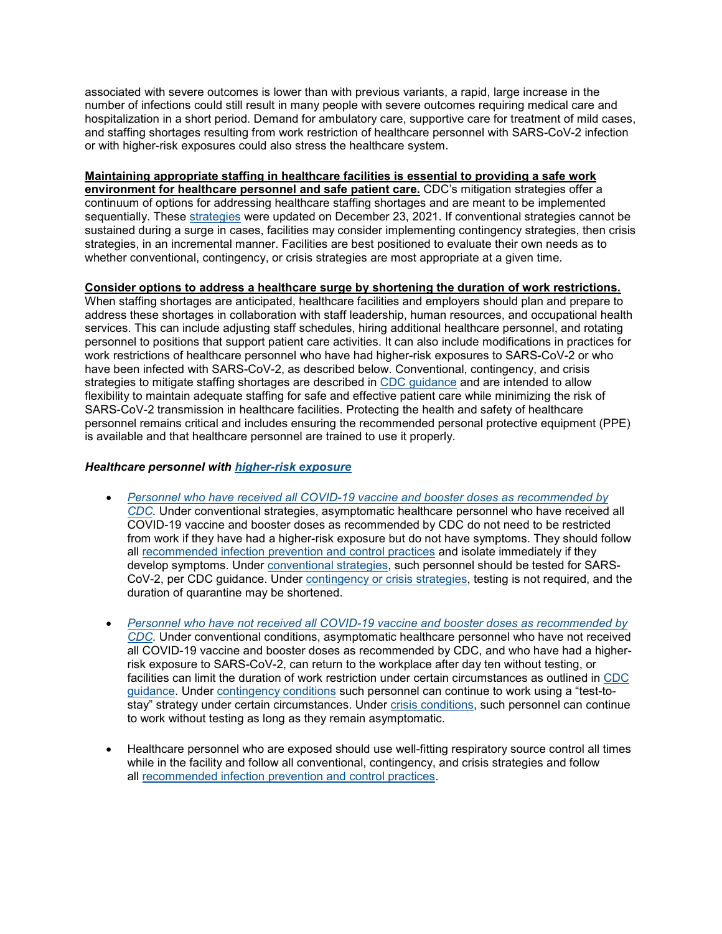associated with severe outcomes is lower than with previous variants, a rapid, large increase in the number of infections could still result in many people with severe outcomes requiring medical care and hospitalization in a short period. Demand for ambulatory care, supportive care for treatment of mild cases, and staffing shortages resulting from work restriction of healthcare personnel with SARS-CoV-2 infection or with higher-risk exposures could also stress the healthcare system.

#### **Maintaining appropriate staffing in healthcare facilities is essential to providing a safe work**

**environment for healthcare personnel and safe patient care.** CDC's mitigation strategies offer a continuum of options for addressing healthcare staffing shortages and are meant to be implemented sequentially. These [strategies](https://www.cdc.gov/coronavirus/2019-ncov/hcp/mitigating-staff-shortages.html) were updated on December 23, 2021. If conventional strategies cannot be sustained during a surge in cases, facilities may consider implementing contingency strategies, then crisis strategies, in an incremental manner. Facilities are best positioned to evaluate their own needs as to whether conventional, contingency, or crisis strategies are most appropriate at a given time.

#### **Consider options to address a healthcare surge by shortening the duration of work restrictions.**

When staffing shortages are anticipated, healthcare facilities and employers should plan and prepare to address these shortages in collaboration with staff leadership, human resources, and occupational health services. This can include adjusting staff schedules, hiring additional healthcare personnel, and rotating personnel to positions that support patient care activities. It can also include modifications in practices for work restrictions of healthcare personnel who have had higher-risk exposures to SARS-CoV-2 or who have been infected with SARS-CoV-2, as described below. Conventional, contingency, and crisis strategies to mitigate staffing shortages are described in [CDC guidance](https://www.cdc.gov/coronavirus/2019-ncov/hcp/mitigating-staff-shortages.html) and are intended to allow flexibility to maintain adequate staffing for safe and effective patient care while minimizing the risk of SARS-CoV-2 transmission in healthcare facilities. Protecting the health and safety of healthcare personnel remains critical and includes ensuring the recommended personal protective equipment (PPE) is available and that healthcare personnel are trained to use it properly.

# *Healthcare personnel with [higher-risk exposure](https://www.cdc.gov/coronavirus/2019-ncov/hcp/guidance-risk-assesment-hcp.html)*

- *[Personnel who have received all COVID-19 vaccine and booster doses as recommended by](https://www.cdc.gov/vaccines/covid-19/clinical-considerations/covid-19-vaccines-us.html?CDC_AA_refVal=https%3A%2F%2Fwww.cdc.gov%2Fvaccines%2Fcovid-19%2Finfo-by-product%2Fclinical-considerations.html)  [CDC.](https://www.cdc.gov/vaccines/covid-19/clinical-considerations/covid-19-vaccines-us.html?CDC_AA_refVal=https%3A%2F%2Fwww.cdc.gov%2Fvaccines%2Fcovid-19%2Finfo-by-product%2Fclinical-considerations.html)* Under conventional strategies, asymptomatic healthcare personnel who have received all COVID-19 vaccine and booster doses as recommended by CDC do not need to be restricted from work if they have had a higher-risk exposure but do not have symptoms. They should follow all [recommended infection prevention and control practices](https://www.cdc.gov/coronavirus/2019-ncov/hcp/infection-control-recommendations.html) and isolate immediately if they develop symptoms. Under [conventional strategies,](https://www.cdc.gov/coronavirus/2019-ncov/hcp/mitigating-staff-shortages.html) such personnel should be tested for SARS-CoV-2, per CDC guidance. Under [contingency or crisis strategies,](https://www.cdc.gov/coronavirus/2019-ncov/hcp/mitigating-staff-shortages.html) testing is not required, and the duration of quarantine may be shortened.
- *[Personnel who have not received all COVID-19 vaccine and booster doses as recommended by](https://www.cdc.gov/vaccines/covid-19/clinical-considerations/covid-19-vaccines-us.html?CDC_AA_refVal=https%3A%2F%2Fwww.cdc.gov%2Fvaccines%2Fcovid-19%2Finfo-by-product%2Fclinical-considerations.html)  [CDC.](https://www.cdc.gov/vaccines/covid-19/clinical-considerations/covid-19-vaccines-us.html?CDC_AA_refVal=https%3A%2F%2Fwww.cdc.gov%2Fvaccines%2Fcovid-19%2Finfo-by-product%2Fclinical-considerations.html)* Under conventional conditions, asymptomatic healthcare personnel who have not received all COVID-19 vaccine and booster doses as recommended by CDC, and who have had a higherrisk exposure to SARS-CoV-2, can return to the workplace after day ten without testing, or facilities can limit the duration of work restriction under certain circumstances as outlined in [CDC](https://www.cdc.gov/coronavirus/2019-ncov/hcp/mitigating-staff-shortages.html)  [guidance.](https://www.cdc.gov/coronavirus/2019-ncov/hcp/mitigating-staff-shortages.html) Under [contingency conditions](https://www.cdc.gov/coronavirus/2019-ncov/hcp/mitigating-staff-shortages.html) such personnel can continue to work using a "test-tostay" strategy under certain circumstances. Under [crisis conditions,](https://www.cdc.gov/coronavirus/2019-ncov/hcp/mitigating-staff-shortages.html) such personnel can continue to work without testing as long as they remain asymptomatic.
- Healthcare personnel who are exposed should use well-fitting respiratory source control all times while in the facility and follow all conventional, contingency, and crisis strategies and follow all [recommended infection prevention and control practices.](https://www.cdc.gov/coronavirus/2019-ncov/hcp/infection-control-recommendations.html)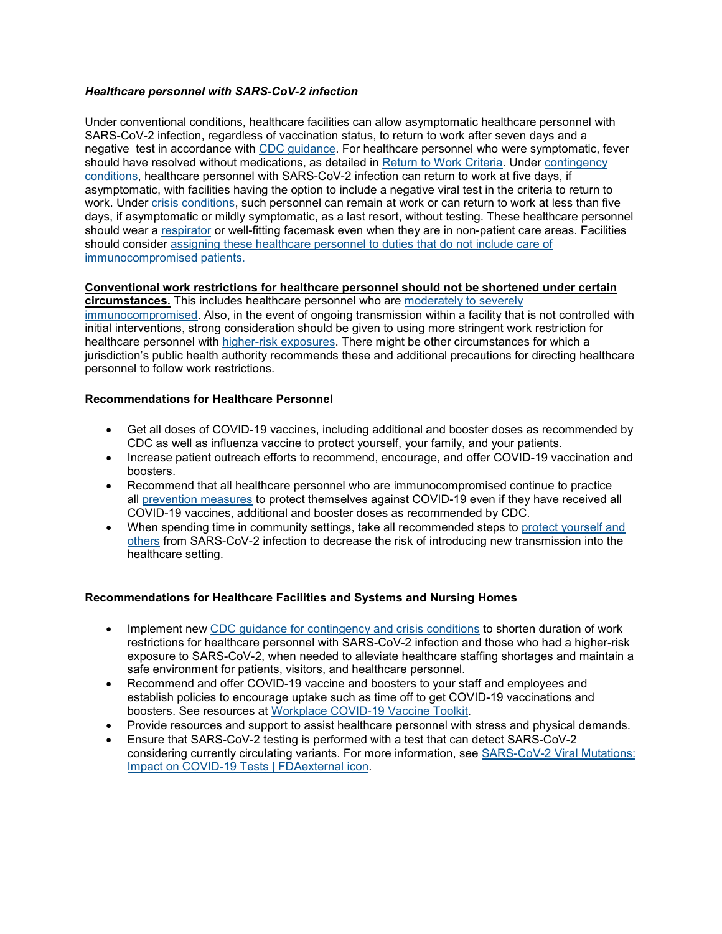# *Healthcare personnel with SARS-CoV-2 infection*

Under conventional conditions, healthcare facilities can allow asymptomatic healthcare personnel with SARS-CoV-2 infection, regardless of vaccination status, to return to work after seven days and a negative test in accordance with [CDC guidance.](https://www.cdc.gov/coronavirus/2019-ncov/hcp/mitigating-staff-shortages.html) For healthcare personnel who were symptomatic, fever should have resolved without medications, as detailed in [Return to Work Criteria.](https://www.cdc.gov/coronavirus/2019-ncov/hcp/guidance-risk-assesment-hcp.html) Under [contingency](https://www.cdc.gov/coronavirus/2019-ncov/hcp/mitigating-staff-shortages.html)  [conditions,](https://www.cdc.gov/coronavirus/2019-ncov/hcp/mitigating-staff-shortages.html) healthcare personnel with SARS-CoV-2 infection can return to work at five days, if asymptomatic, with facilities having the option to include a negative viral test in the criteria to return to work. Under [crisis conditions,](https://www.cdc.gov/coronavirus/2019-ncov/hcp/mitigating-staff-shortages.html) such personnel can remain at work or can return to work at less than five days, if asymptomatic or mildly symptomatic, as a last resort, without testing. These healthcare personnel should wear a [respirator](https://www.cdc.gov/niosh/npptl/topics/respirators/disp_part/respsource.html) or well-fitting facemask even when they are in non-patient care areas. Facilities should consider [assigning these healthcare personnel to duties that do](https://www.cdc.gov/coronavirus/2019-ncov/hcp/mitigating-staff-shortages.html) not include care of [immunocompromised patients.](https://www.cdc.gov/coronavirus/2019-ncov/hcp/mitigating-staff-shortages.html)

# **Conventional work restrictions for healthcare personnel should not be shortened under certain**

**circumstances.** This includes healthcare personnel who are [moderately to severely](https://www.cdc.gov/vaccines/covid-19/clinical-considerations/covid-19-vaccines-us.html?CDC_AA_refVal=https%3A%2F%2Fwww.cdc.gov%2Fvaccines%2Fcovid-19%2Finfo-by-product%2Fclinical-considerations.html#considerations-covid19-vax-immunocopromised)  [immunocompromised.](https://www.cdc.gov/vaccines/covid-19/clinical-considerations/covid-19-vaccines-us.html?CDC_AA_refVal=https%3A%2F%2Fwww.cdc.gov%2Fvaccines%2Fcovid-19%2Finfo-by-product%2Fclinical-considerations.html#considerations-covid19-vax-immunocopromised) Also, in the event of ongoing transmission within a facility that is not controlled with initial interventions, strong consideration should be given to using more stringent work restriction for healthcare personnel with [higher-risk exposures.](https://www.cdc.gov/coronavirus/2019-ncov/hcp/guidance-risk-assesment-hcp.html) There might be other circumstances for which a jurisdiction's public health authority recommends these and additional precautions for directing healthcare personnel to follow work restrictions.

#### **Recommendations for Healthcare Personnel**

- Get all doses of COVID-19 vaccines, including additional and booster doses as recommended by CDC as well as influenza vaccine to protect yourself, your family, and your patients.
- Increase patient outreach efforts to recommend, encourage, and offer COVID-19 vaccination and boosters.
- Recommend that all healthcare personnel who are immunocompromised continue to practice all [prevention measures](https://www.cdc.gov/coronavirus/2019-ncov/hcp/infection-control-recommendations.html) to protect themselves against COVID-19 even if they have received all COVID-19 vaccines, additional and booster doses as recommended by CDC.
- When spending time in community settings, take all recommended steps to [protect yourself and](https://www.cdc.gov/coronavirus/2019-ncov/prevent-getting-sick/prevention.html)  [others](https://www.cdc.gov/coronavirus/2019-ncov/prevent-getting-sick/prevention.html) from SARS-CoV-2 infection to decrease the risk of introducing new transmission into the healthcare setting.

#### **Recommendations for Healthcare Facilities and Systems and Nursing Homes**

- Implement new [CDC guidance for contingency and crisis conditions](https://www.cdc.gov/coronavirus/2019-ncov/hcp/mitigating-staff-shortages.html) to shorten duration of work restrictions for healthcare personnel with SARS-CoV-2 infection and those who had a higher-risk exposure to SARS-CoV-2, when needed to alleviate healthcare staffing shortages and maintain a safe environment for patients, visitors, and healthcare personnel.
- Recommend and offer COVID-19 vaccine and boosters to your staff and employees and establish policies to encourage uptake such as time off to get COVID-19 vaccinations and boosters. See resources at [Workplace COVID-19 Vaccine Toolkit.](https://www.cdc.gov/coronavirus/2019-ncov/vaccines/toolkits/essential-workers.html)
- Provide resources and support to assist healthcare personnel with stress and physical demands.
- Ensure that SARS-CoV-2 testing is performed with a test that can detect SARS-CoV-2 considering currently circulating variants. For more information, see [SARS-CoV-2 Viral](https://www.fda.gov/medical-devices/coronavirus-covid-19-and-medical-devices/sars-cov-2-viral-mutations-impact-covid-19-tests) Mutations: [Impact on COVID-19 Tests | FDAexternal](https://www.fda.gov/medical-devices/coronavirus-covid-19-and-medical-devices/sars-cov-2-viral-mutations-impact-covid-19-tests) icon.